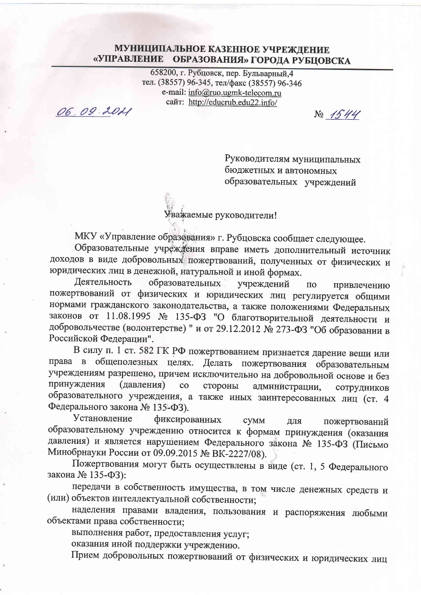## МУНИЦИПАЛЬНОЕ КАЗЕННОЕ УЧРЕЖДЕНИЕ «УПРАВЛЕНИЕ ОБРАЗОВАНИЯ» ГОРОДА РУБЦОВСКА

658200, г. Рубцовск, пер. Бульварный, 4 тел. (38557) 96-345, тел/факс (38557) 96-346 e-mail: info@ruo.ugmk-telecom.ru сайт: http://educrub.edu22.info/

06.09.2021

 $N_2$  1544

Руководителям муниципальных бюджетных и автономных образовательных учреждений

Уважаемые руководители!

МКУ «Управление образования» г. Рубцовска сообщает следующее.

Образовательные учреждения вправе иметь дополнительный источник доходов в виде добровольных пожертвований, полученных от физических и юридических лиц в денежной, натуральной и иной формах.

Деятельность образовательных учреждений  $\overline{a}$ привлечению пожертвований от физических и юридических лиц регулируется общими нормами гражданского законодательства, а также положениями Федеральных законов от 11.08.1995 № 135-ФЗ "О благотворительной деятельности и добровольчестве (волонтерстве) " и от 29.12.2012 № 273-ФЗ "Об образовании в Российской Федерации".

В силу п. 1 ст. 582 ГК РФ пожертвованием признается дарение вещи или права в общеполезных целях. Делать пожертвования образовательным учреждениям разрешено, причем исключительно на добровольной основе и без принуждения (давления)  $\mathbf{CO}$ стороны администрации, сотрудников образовательного учреждения, а также иных заинтересованных лиц (ст. 4 Федерального закона № 135-ФЗ).

Установление фиксированных **CYMM** для пожертвований образовательному учреждению относится к формам принуждения (оказания давления) и является нарушением Федерального закона № 135-ФЗ (Письмо Минобрнауки России от 09.09.2015 № ВК-2227/08).

Пожертвования могут быть осуществлены в виде (ст. 1, 5 Федерального закона № 135-ФЗ):

передачи в собственность имущества, в том числе денежных средств и (или) объектов интеллектуальной собственности;

наделения правами владения, пользования и распоряжения любыми объектами права собственности;

выполнения работ, предоставления услуг;

оказания иной поддержки учреждению.

Прием добровольных пожертвований от физических и юридических лиц